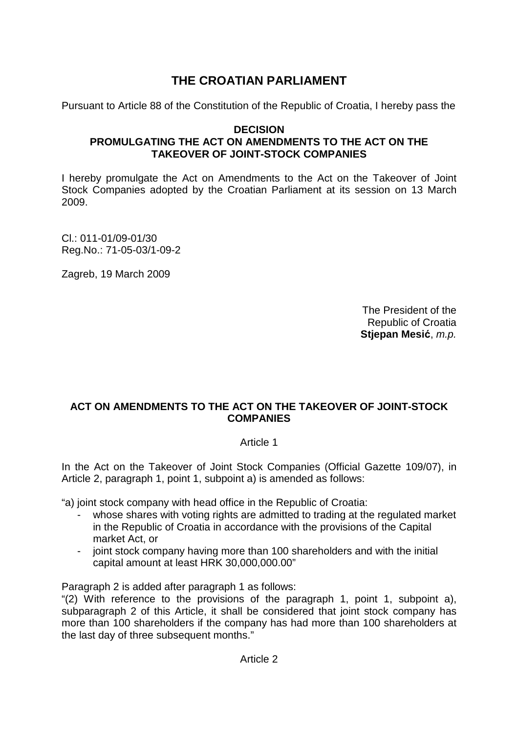# **THE CROATIAN PARLIAMENT**

Pursuant to Article 88 of the Constitution of the Republic of Croatia, I hereby pass the

# **DECISION PROMULGATING THE ACT ON AMENDMENTS TO THE ACT ON THE TAKEOVER OF JOINT-STOCK COMPANIES**

I hereby promulgate the Act on Amendments to the Act on the Takeover of Joint Stock Companies adopted by the Croatian Parliament at its session on 13 March 2009.

Cl.: 011-01/09-01/30 Reg.No.: 71-05-03/1-09-2

Zagreb, 19 March 2009

The President of the Republic of Croatia **Stjepan Mesi**ć, m.p.

# **ACT ON AMENDMENTS TO THE ACT ON THE TAKEOVER OF JOINT-STOCK COMPANIES**

# Article 1

In the Act on the Takeover of Joint Stock Companies (Official Gazette 109/07), in Article 2, paragraph 1, point 1, subpoint a) is amended as follows:

"a) joint stock company with head office in the Republic of Croatia:

- whose shares with voting rights are admitted to trading at the regulated market in the Republic of Croatia in accordance with the provisions of the Capital market Act, or
- joint stock company having more than 100 shareholders and with the initial capital amount at least HRK 30,000,000.00"

Paragraph 2 is added after paragraph 1 as follows:

"(2) With reference to the provisions of the paragraph 1, point 1, subpoint a), subparagraph 2 of this Article, it shall be considered that joint stock company has more than 100 shareholders if the company has had more than 100 shareholders at the last day of three subsequent months."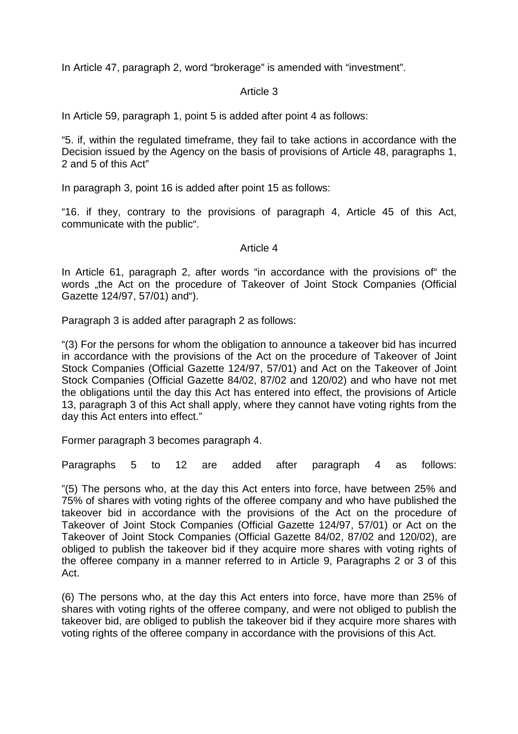In Article 47, paragraph 2, word "brokerage" is amended with "investment".

## Article 3

In Article 59, paragraph 1, point 5 is added after point 4 as follows:

"5. if, within the regulated timeframe, they fail to take actions in accordance with the Decision issued by the Agency on the basis of provisions of Article 48, paragraphs 1, 2 and 5 of this Act"

In paragraph 3, point 16 is added after point 15 as follows:

"16. if they, contrary to the provisions of paragraph 4, Article 45 of this Act, communicate with the public".

#### Article 4

In Article 61, paragraph 2, after words "in accordance with the provisions of" the words "the Act on the procedure of Takeover of Joint Stock Companies (Official Gazette 124/97, 57/01) and").

Paragraph 3 is added after paragraph 2 as follows:

"(3) For the persons for whom the obligation to announce a takeover bid has incurred in accordance with the provisions of the Act on the procedure of Takeover of Joint Stock Companies (Official Gazette 124/97, 57/01) and Act on the Takeover of Joint Stock Companies (Official Gazette 84/02, 87/02 and 120/02) and who have not met the obligations until the day this Act has entered into effect, the provisions of Article 13, paragraph 3 of this Act shall apply, where they cannot have voting rights from the day this Act enters into effect."

Former paragraph 3 becomes paragraph 4.

Paragraphs 5 to 12 are added after paragraph 4 as follows:

"(5) The persons who, at the day this Act enters into force, have between 25% and 75% of shares with voting rights of the offeree company and who have published the takeover bid in accordance with the provisions of the Act on the procedure of Takeover of Joint Stock Companies (Official Gazette 124/97, 57/01) or Act on the Takeover of Joint Stock Companies (Official Gazette 84/02, 87/02 and 120/02), are obliged to publish the takeover bid if they acquire more shares with voting rights of the offeree company in a manner referred to in Article 9, Paragraphs 2 or 3 of this Act.

(6) The persons who, at the day this Act enters into force, have more than 25% of shares with voting rights of the offeree company, and were not obliged to publish the takeover bid, are obliged to publish the takeover bid if they acquire more shares with voting rights of the offeree company in accordance with the provisions of this Act.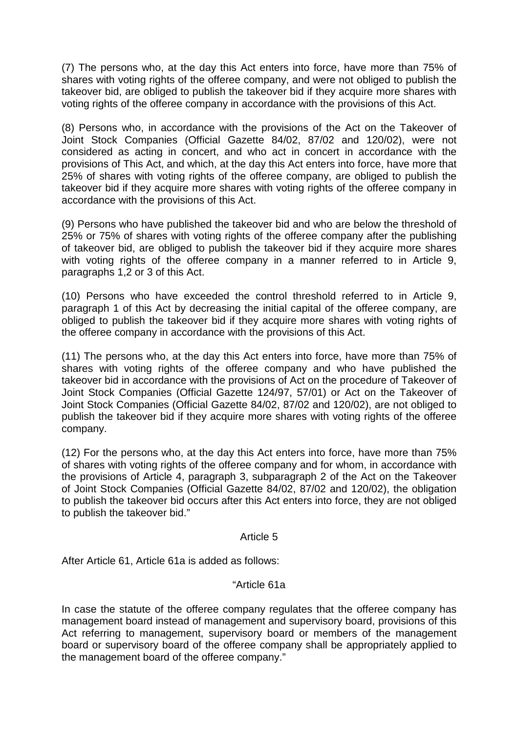(7) The persons who, at the day this Act enters into force, have more than 75% of shares with voting rights of the offeree company, and were not obliged to publish the takeover bid, are obliged to publish the takeover bid if they acquire more shares with voting rights of the offeree company in accordance with the provisions of this Act.

(8) Persons who, in accordance with the provisions of the Act on the Takeover of Joint Stock Companies (Official Gazette 84/02, 87/02 and 120/02), were not considered as acting in concert, and who act in concert in accordance with the provisions of This Act, and which, at the day this Act enters into force, have more that 25% of shares with voting rights of the offeree company, are obliged to publish the takeover bid if they acquire more shares with voting rights of the offeree company in accordance with the provisions of this Act.

(9) Persons who have published the takeover bid and who are below the threshold of 25% or 75% of shares with voting rights of the offeree company after the publishing of takeover bid, are obliged to publish the takeover bid if they acquire more shares with voting rights of the offeree company in a manner referred to in Article 9, paragraphs 1,2 or 3 of this Act.

(10) Persons who have exceeded the control threshold referred to in Article 9, paragraph 1 of this Act by decreasing the initial capital of the offeree company, are obliged to publish the takeover bid if they acquire more shares with voting rights of the offeree company in accordance with the provisions of this Act.

(11) The persons who, at the day this Act enters into force, have more than 75% of shares with voting rights of the offeree company and who have published the takeover bid in accordance with the provisions of Act on the procedure of Takeover of Joint Stock Companies (Official Gazette 124/97, 57/01) or Act on the Takeover of Joint Stock Companies (Official Gazette 84/02, 87/02 and 120/02), are not obliged to publish the takeover bid if they acquire more shares with voting rights of the offeree company.

(12) For the persons who, at the day this Act enters into force, have more than 75% of shares with voting rights of the offeree company and for whom, in accordance with the provisions of Article 4, paragraph 3, subparagraph 2 of the Act on the Takeover of Joint Stock Companies (Official Gazette 84/02, 87/02 and 120/02), the obligation to publish the takeover bid occurs after this Act enters into force, they are not obliged to publish the takeover bid."

# Article 5

After Article 61, Article 61a is added as follows:

# "Article 61a

In case the statute of the offeree company regulates that the offeree company has management board instead of management and supervisory board, provisions of this Act referring to management, supervisory board or members of the management board or supervisory board of the offeree company shall be appropriately applied to the management board of the offeree company."